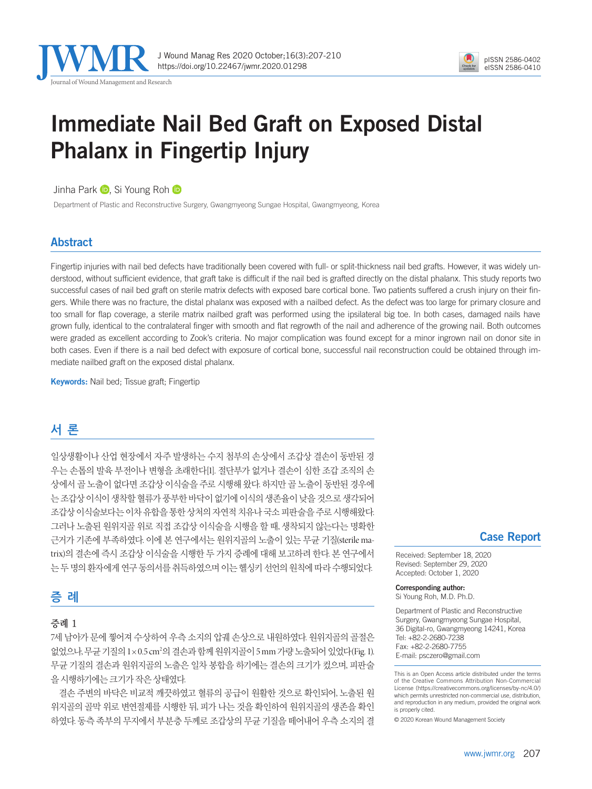



# Immediate Nail Bed Graft on Exposed Distal Phalanx in Fingertip Injury

JinhaPark **D**. Si Young Roh **D** 

Department of Plastic and Reconstructive Surgery, Gwangmyeong Sungae Hospital, Gwangmyeong, Korea

### Abstract

Fingertip injuries with nail bed defects have traditionally been covered with full- or split-thickness nail bed grafts. However, it was widely understood, without sufficient evidence, that graft take is difficult if the nail bed is grafted directly on the distal phalanx. This study reports two successful cases of nail bed graft on sterile matrix defects with exposed bare cortical bone. Two patients suffered a crush injury on their fingers. While there was no fracture, the distal phalanx was exposed with a nailbed defect. As the defect was too large for primary closure and too small for flap coverage, a sterile matrix nailbed graft was performed using the ipsilateral big toe. In both cases, damaged nails have grown fully, identical to the contralateral finger with smooth and flat regrowth of the nail and adherence of the growing nail. Both outcomes were graded as excellent according to Zook's criteria. No major complication was found except for a minor ingrown nail on donor site in both cases. Even if there is a nail bed defect with exposure of cortical bone, successful nail reconstruction could be obtained through immediate nailbed graft on the exposed distal phalanx.

**Keywords:** Nail bed; Tissue graft; Fingertip

## **서 론**

일상생활이나 산업 현장에서 자주 발생하는 수지 첨부의 손상에서 조갑상 결손이 동반된 경 우는 손톱의 발육 부전이나 변형을 초래한다[1]. 절단부가 없거나 결손이 심한 조갑 조직의 손 상에서 골 노출이 없다면 조갑상 이식술을 주로 시행해 왔다. 하지만 골 노출이 동반된 경우에 는 조갑상 이식이 생착할 혈류가 풍부한 바닥이 없기에 이식의 생존율이 낮을 것으로 생각되어 조갑상이식술보다는이차유합을통한상처의자연적치유나국소피판술을주로시행해왔다. 그러나 노출된 원위지골 위로 직접 조갑상 이식술을 시행을 할 때, 생착되지 않는다는 명확한 근거가 기존에 부족하였다. 이에 본 연구에서는 원위지골의 노출이 있는 무균 기질(sterile matrix)의 결손에 즉시 조갑상 이식술을 시행한 두 가지 증례에 대해 보고하려 한다. 본 연구에서 는 두 명의 화자에게 연구 동의서를 취득하였으며 이는 헬싱키 선언의 원칙에 따라 수행되었다.

### **증 례**

### 증례 1

7세 남아가 문에 찧어져 수상하여 우측 소지의 압궤 손상으로 내원하였다. 원위지골의 골절은 없었으나, 무균 기질의 1×0.5 cm<sup>2</sup>의 결손과 함께 원위지골이 5 mm 가량 노출되어 있었다(Fig. 1). 무균 기질의 결손과 원위지골의 노출은 일차 봉합을 하기에는 결손의 크기가 컸으며, 피판술 을시행하기에는크기가작은상태였다.

결손 주변의 바닥은 비교적 깨끗하였고 혈류의 공급이 원활한 것으로 확인되어, 노출된 원 위지골의 골막 위로 변연절제를 시행한 뒤, 피가 나는 것을 확인하여 원위지골의 생존을 확인 하였다. 동측 족부의 무지에서 부분층 두께로 조갑상의 무균 기질을 떼어내어 우측 소지의 결

#### Case Report

Received: September 18, 2020 Revised: September 29, 2020 Accepted: October 1, 2020

Corresponding author: Si Young Roh, M.D. Ph.D.

Department of Plastic and Reconstructive Surgery, Gwangmyeong Sungae Hospital, 36 Digital-ro, Gwangmyeong 14241, Korea Tel: +82-2-2680-7238 Fax: +82-2-2680-7755 E-mail: psczero@gmail.com

© 2020 Korean Wound Management Society

This is an Open Access article distributed under the terms of the Creative Commons Attribution Non-Commercial License (https://creativecommons.org/licenses/by-nc/4.0/) which permits unrestricted non-commercial use, distribution, and reproduction in any medium, provided the original work is properly cited.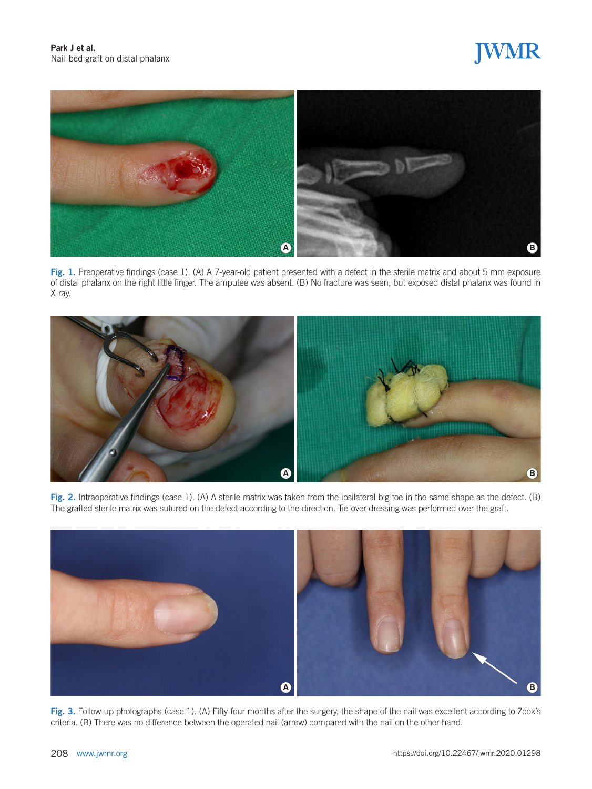# JWMR



Fig. 1. Preoperative findings (case 1). (A) A 7-year-old patient presented with a defect in the sterile matrix and about 5 mm exposure of distal phalanx on the right little finger. The amputee was absent. (B) No fracture was seen, but exposed distal phalanx was found in X-ray.



Fig. 2. Intraoperative findings (case 1). (A) A sterile matrix was taken from the ipsilateral big toe in the same shape as the defect. (B) The grafted sterile matrix was sutured on the defect according to the direction. Tie-over dressing was performed over the graft.



Fig. 3. Follow-up photographs (case 1). (A) Fifty-four months after the surgery, the shape of the nail was excellent according to Zook's criteria. (B) There was no difference between the operated nail (arrow) compared with the nail on the other hand.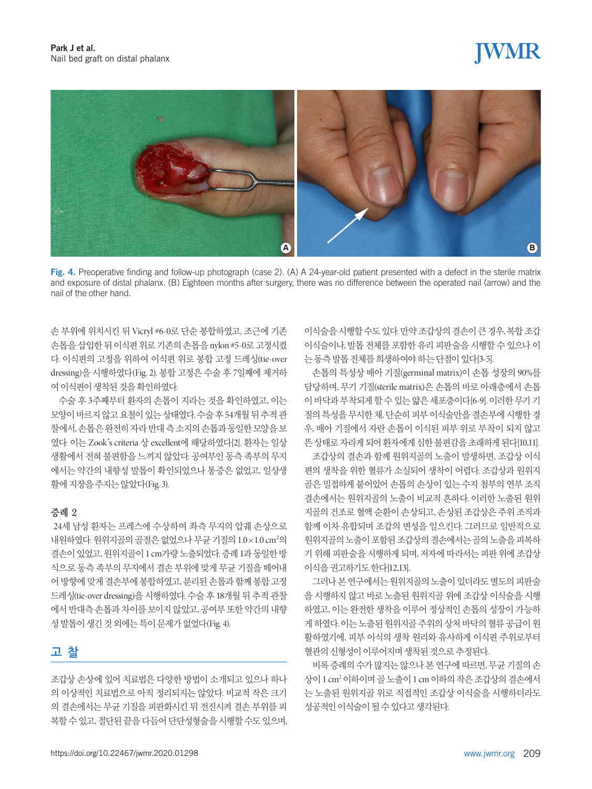## **JWMR**



Fig. 4. Preoperative finding and follow-up photograph (case 2). (A) A 24-year-old patient presented with a defect in the sterile matrix and exposure of distal phalanx. (B) Eighteen months after surgery, there was no difference between the operated nail (arrow) and the nail of the other hand.

손 부위에 위치시킨 뒤 Vicryl #6-0로 단순 봉합하였고, 조근에 기존 손톱을삽입한뒤이식편위로기존의손톱을 nylon #5-0로고정시켰 다. 이식편의 고정을 위하여 이식편 위로 봉합 고정 드레싱(tie-over dressing)을 시행하였다(Fig. 2). 봉합 고정은 수술 후 7일째에 제거하 여 이식편이 생착된 것을 확인하였다.

수술 후 3주째부터 환자의 손톱이 지라는 것을 확인하였고, 이는 모양이 바르지 않고 요철이 있는 상태였다. 수술 후 54개월 뒤 추적 관 찰에서, 손톱은완전히자라반대측소지의손톱과동일한모양을보 였다. 이는 Zook's criteria 상 excellent에 해당하였다[2]. 환자는 일상 생활에서 전혀 불편함을 느끼지 않았다. 공여부인 동측 족부의 무지 에서는 약간의 내향성 발톱이 확인되었으나 통증은 없었고, 일상생 활에지장을주지는않았다(Fig. 3).

#### 증례 2

24세 남성 환자는 프레스에 수상하여 좌측 무지의 압궤 손상으로 내원하였다. 원위지골의 골절은 없었으나 무균 기질의 1.0×1.0 cm²의 결손이있었고, 원위지골이 1 cm가량노출되었다. 증례 1과동일한방 식으로 동측 족부의 무지에서 결손 부위에 맞게 무균 기질을 떼어내 어방향에맞게결손부에봉합하였고, 분리된손톱과함께봉합고정 드레싱(tie-over dressing)을 시행하였다. 수술 후 18개월 뒤 추적 관찰 에서 반대측 손톱과 차이를 보이지 않았고, 공여부 또한 약간의 내향 성 발톱이 생긴 것 외에는 특이 문제가 없었다(Fig. 4).

### **고 찰**

조갑상 손상에 있어 치료법은 다양한 방법이 소개되고 있으나 하나 의 이상적인 치료법으로 아직 정리되지는 않았다. 비교적 작은 크기 의 결손에서는 무균 기질을 피판화시킨 뒤 전진시켜 결손 부위를 피 복할 수 있고, 절단된 끝을 다듬어 단단성형술을 시행할 수도 있으며, 이식술을시행할수도있다. 만약조갑상의결손이큰경우, 복합조갑 이식술이나, 발톱 전체를 포함한 유리 피판술을 시행할 수 있으나 이 는동측발톱전체를희생하여야하는단점이있다[3-5].

손톱의 특성상 배아 기질(germinal matrix)이 손톱 성장의 90%를 담당하며, 무기 기질(sterile matrix)은 손톱의 바로 아래층에서 손톱 이바닥과부착되게할수있는얇은세포층이다[6-9]. 이러한무기기 질의 특성을 무시한 채, 단순히 피부 이식술만을 결손부에 시행한 경 우, 배아 기질에서 자란 손톱이 이식된 피부 위로 부착이 되지 않고 뜬상태로자라게되어환자에게심한불편감을초래하게된다[10,11]. 조갑상의 결손과 함께 원위지골의 노출이 발생하면, 조갑상 이식 편의 생착을 위한 혈류가 소실되어 생착이 어렵다. 조갑상과 원위지 골은 밀접하게 붙어있어 손톱의 손상이 있는 수지 첨부의 연부 조직 결손에서는 원위지골의 노출이 비교적 흔하다. 이러한 노출된 원위 지골의 건조로 혈액 순환이 손상되고, 손상된 조갑상은 주위 조직과 함께 이차 유합되며 조갑의 변성을 일으킨다. 그러므로 일반적으로 원위지골의노출이포함된조갑상의결손에서는골의노출을피복하 기 위해 피판술을 시행하게 되며, 저자에 따라서는 피판 위에 조갑상 이식을 궈고하기도 하다[12,13].

그러나 본 연구에서는 원위지골의 노출이 있더라도 별도의 피판술 을 시행하지 않고 바로 노출된 원위지골 위에 조갑상 이식술을 시행 하였고, 이는 완전한 생착을 이루어 정상적인 손톱의 성장이 가능하 게 하였다. 이는 노출된 원위지골 주위의 상처 바닥의 혈류 공급이 원 활하였기에, 피부 이식의 생착 원리와 유사하게 이식편 주위로부터 혈관의신형성이이루어지며생착된것으로추정된다.

비록 증례의 수가 많지는 않으나 본 연구에 따르면, 무균 기질의 손 상이 1 cm2 이하이며골노출이 1 cm 이하의작은조갑상의결손에서 는 노출된 원위지골 위로 직접적인 조갑상 이식술을 시행하더라도 성공적인이식술이될수있다고생각된다.